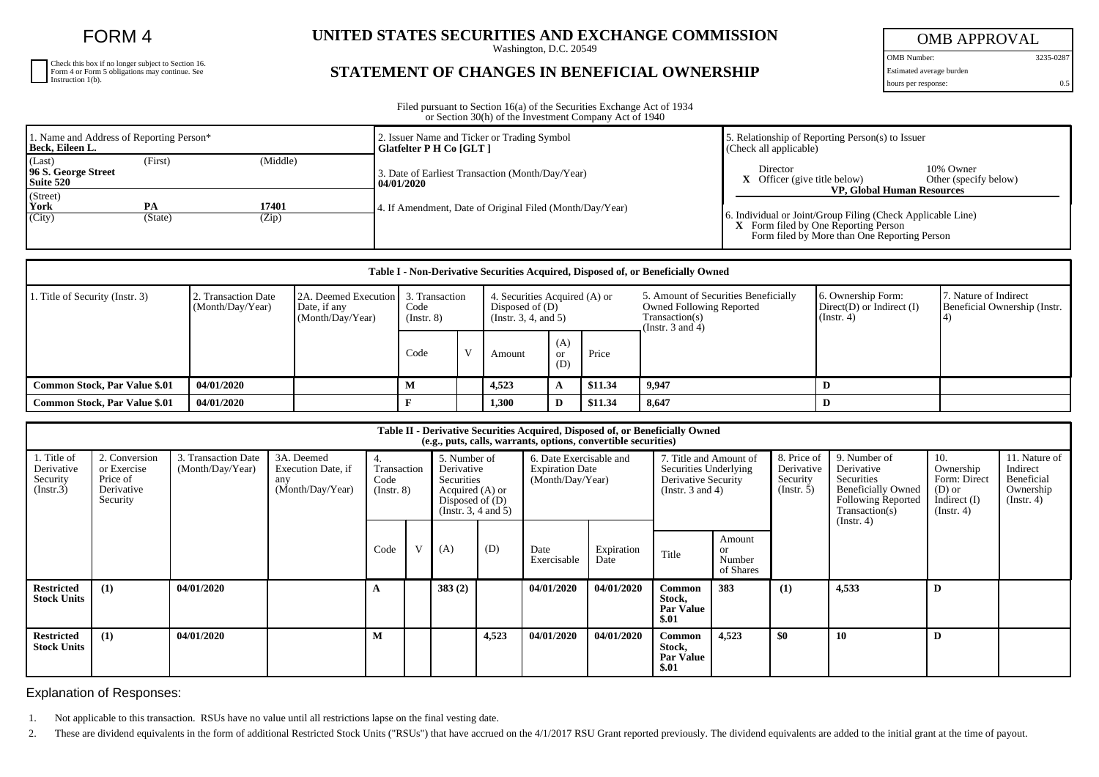FORM 4

| Check this box if no longer subject to Section 16.<br>Form 4 or Form 5 obligations may continue. See Instruction 1(b). |
|------------------------------------------------------------------------------------------------------------------------|
|                                                                                                                        |
|                                                                                                                        |

## **UNITED STATES SECURITIES AND EXCHANGE COMMISSION**

Washington, D.C. 20549

## **STATEMENT OF CHANGES IN BENEFICIAL OWNERSHIP**

OMB APPROVAL

OMB Number: 3235-0287 Estimated average burden

hours per response: 0.5

Filed pursuant to Section 16(a) of the Securities Exchange Act of 1934 or Section 30(h) of the Investment Company Act of 1940

| 1. Name and Address of Reporting Person*<br>Beck, Eileen L.       |         |                | 2. Issuer Name and Ticker or Trading Symbol<br><b>Glatfelter P H Co [GLT ]</b> | 5. Relationship of Reporting Person(s) to Issuer<br>(Check all applicable)                                                                                                                      |  |  |  |
|-------------------------------------------------------------------|---------|----------------|--------------------------------------------------------------------------------|-------------------------------------------------------------------------------------------------------------------------------------------------------------------------------------------------|--|--|--|
| (Middle)<br>(Last)<br>(First)<br>96 S. George Street<br>Suite 520 |         |                | 3. Date of Earliest Transaction (Month/Day/Year)<br>  04/01/2020               | Director<br>10% Owner<br>Officer (give title below)<br>Other (specify below)                                                                                                                    |  |  |  |
| (Street)<br>York<br>(City)                                        | (State) | 17401<br>(Zip) | 4. If Amendment, Date of Original Filed (Month/Day/Year)                       | <b>VP. Global Human Resources</b><br>6. Individual or Joint/Group Filing (Check Applicable Line)<br><b>X</b> Form filed by One Reporting Person<br>Form filed by More than One Reporting Person |  |  |  |

| Table I - Non-Derivative Securities Acquired, Disposed of, or Beneficially Owned |                                                                                                                                                |  |      |                                                                                 |        |                         |                                                                                                                    |                                                                   |                                                        |  |  |
|----------------------------------------------------------------------------------|------------------------------------------------------------------------------------------------------------------------------------------------|--|------|---------------------------------------------------------------------------------|--------|-------------------------|--------------------------------------------------------------------------------------------------------------------|-------------------------------------------------------------------|--------------------------------------------------------|--|--|
| 1. Title of Security (Instr. 3)                                                  | 2A. Deemed Execution 3. Transaction<br>2. Transaction Date<br>(Month/Day/Year)<br>Date, if any<br>Code<br>(Month/Day/Year)<br>$($ Instr. 8 $)$ |  |      | 4. Securities Acquired (A) or<br>Disposed of $(D)$<br>(Instr. $3, 4,$ and $5$ ) |        |                         | 5. Amount of Securities Beneficially<br><b>Owned Following Reported</b><br>Transaction(s)<br>(Instr. $3$ and $4$ ) | 6. Ownership Form:<br>$Direct(D)$ or Indirect $(I)$<br>(Instr. 4) | 17. Nature of Indirect<br>Beneficial Ownership (Instr. |  |  |
|                                                                                  |                                                                                                                                                |  | Code |                                                                                 | Amount | (A)<br><b>or</b><br>(D) | Price                                                                                                              |                                                                   |                                                        |  |  |
| Common Stock, Par Value \$.01                                                    | 04/01/2020                                                                                                                                     |  |      |                                                                                 | 4,523  | A                       | \$11.34                                                                                                            | 9.947                                                             |                                                        |  |  |
| <b>Common Stock, Par Value \$.01</b>                                             | 04/01/2020                                                                                                                                     |  |      |                                                                                 | 1,300  | D                       | \$11.34                                                                                                            | 8,647                                                             |                                                        |  |  |

| Table II - Derivative Securities Acquired, Disposed of, or Beneficially Owned<br>(e.g., puts, calls, warrants, options, convertible securities) |                                                                    |                                         |                                                             |                                         |   |                                                                                                          |       |                                                                       |                    |                                                                                                 |                                     |                                                      |                                                                                                                      |                                                                                    |                                                                          |
|-------------------------------------------------------------------------------------------------------------------------------------------------|--------------------------------------------------------------------|-----------------------------------------|-------------------------------------------------------------|-----------------------------------------|---|----------------------------------------------------------------------------------------------------------|-------|-----------------------------------------------------------------------|--------------------|-------------------------------------------------------------------------------------------------|-------------------------------------|------------------------------------------------------|----------------------------------------------------------------------------------------------------------------------|------------------------------------------------------------------------------------|--------------------------------------------------------------------------|
| 1. Title of<br>Derivative<br>Security<br>(Insert.3)                                                                                             | 2. Conversion<br>or Exercise<br>Price of<br>Derivative<br>Security | 3. Transaction Date<br>(Month/Day/Year) | 3A. Deemed<br>Execution Date, if<br>any<br>(Month/Day/Year) | 4.<br>Transaction<br>Code<br>(Insert 8) |   | 5. Number of<br>Derivative<br>Securities<br>Acquired (A) or<br>Disposed of $(D)$<br>(Insert. 3, 4 and 5) |       | 6. Date Exercisable and<br><b>Expiration Date</b><br>(Month/Day/Year) |                    | 7. Title and Amount of<br>Securities Underlying<br>Derivative Security<br>(Instr. $3$ and $4$ ) |                                     | 8. Price of<br>Derivative<br>Security<br>(Insert. 5) | 9. Number of<br>Derivative<br>Securities<br><b>Beneficially Owned</b><br><b>Following Reported</b><br>Transaction(s) | 10.<br>Ownership<br>Form: Direct<br>$(D)$ or<br>Indirect $(I)$<br>$($ Instr. 4 $)$ | 11. Nature of<br>Indirect<br>Beneficial<br>Ownership<br>$($ Instr. 4 $)$ |
|                                                                                                                                                 |                                                                    |                                         |                                                             | Code                                    | V | (A)                                                                                                      | (D)   | Date<br>Exercisable                                                   | Expiration<br>Date | Title                                                                                           | Amount<br>or<br>Number<br>of Shares |                                                      | $($ Instr. 4 $)$                                                                                                     |                                                                                    |                                                                          |
| <b>Restricted</b><br><b>Stock Units</b>                                                                                                         | (1)                                                                | 04/01/2020                              |                                                             |                                         |   | 383(2)                                                                                                   |       | 04/01/2020                                                            | 04/01/2020         | <b>Common</b><br>Stock,<br><b>Par Value</b><br>\$.01                                            | 383                                 | (1)                                                  | 4,533                                                                                                                | D                                                                                  |                                                                          |
| <b>Restricted</b><br><b>Stock Units</b>                                                                                                         | (1)                                                                | 04/01/2020                              |                                                             | м                                       |   |                                                                                                          | 4,523 | 04/01/2020                                                            | 04/01/2020         | Common<br>Stock,<br><b>Par Value</b><br>\$.01                                                   | 4,523                               | \$0                                                  | 10                                                                                                                   | D                                                                                  |                                                                          |

Explanation of Responses:

1. Not applicable to this transaction. RSUs have no value until all restrictions lapse on the final vesting date.

2. These are dividend equivalents in the form of additional Restricted Stock Units ("RSUs") that have accrued on the 4/1/2017 RSU Grant reported previously. The dividend equivalents are added to the initial grant at the ti